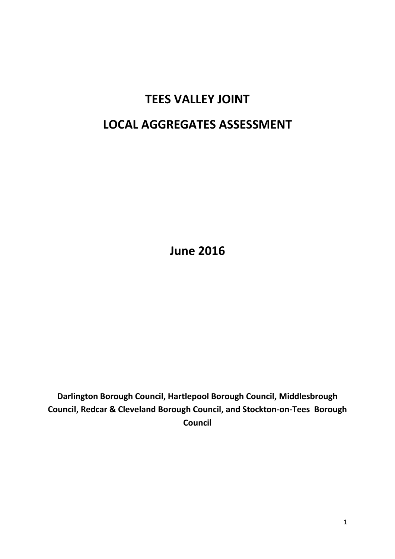# **TEES VALLEY JOINT**

# **LOCAL AGGREGATES ASSESSMENT**

**June 2016**

**Darlington Borough Council, Hartlepool Borough Council, Middlesbrough Council, Redcar & Cleveland Borough Council, and Stockton-on-Tees Borough Council**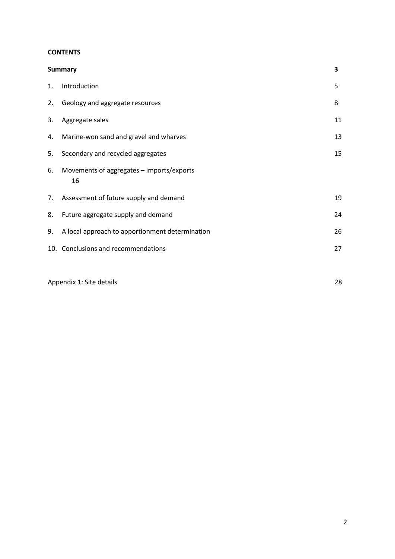# **CONTENTS**

|    | <b>Summary</b>                                  | 3  |
|----|-------------------------------------------------|----|
| 1. | Introduction                                    | 5  |
|    | 2. Geology and aggregate resources              | 8  |
| 3. | Aggregate sales                                 | 11 |
| 4. | Marine-won sand and gravel and wharves          | 13 |
| 5. | Secondary and recycled aggregates               | 15 |
| 6. | Movements of aggregates - imports/exports<br>16 |    |
| 7. | Assessment of future supply and demand          | 19 |
| 8. | Future aggregate supply and demand              | 24 |
| 9. | A local approach to apportionment determination | 26 |
|    | 10. Conclusions and recommendations             | 27 |
|    |                                                 |    |

Appendix 1: Site details 28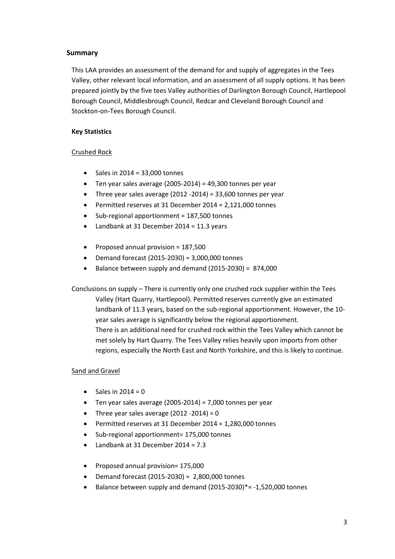# **Summary**

This LAA provides an assessment of the demand for and supply of aggregates in the Tees Valley, other relevant local information, and an assessment of all supply options. It has been prepared jointly by the five tees Valley authorities of Darlington Borough Council, Hartlepool Borough Council, Middlesbrough Council, Redcar and Cleveland Borough Council and Stockton-on-Tees Borough Council.

# **Key Statistics**

# Crushed Rock

- $\bullet$  Sales in 2014 = 33,000 tonnes
- $\bullet$  Ten year sales average (2005-2014) = 49,300 tonnes per year
- Three year sales average (2012 -2014) = 33,600 tonnes per year
- Permitted reserves at 31 December 2014 = 2,121,000 tonnes
- Sub-regional apportionment = 187,500 tonnes
- Landbank at 31 December 2014 = 11.3 years
- $\bullet$  Proposed annual provision = 187,500
- Demand forecast (2015-2030) = 3,000,000 tonnes
- $\bullet$  Balance between supply and demand (2015-2030) = 874,000

Conclusions on supply – There is currently only one crushed rock supplier within the Tees Valley (Hart Quarry, Hartlepool). Permitted reserves currently give an estimated landbank of 11.3 years, based on the sub-regional apportionment. However, the 10 year sales average is significantly below the regional apportionment. There is an additional need for crushed rock within the Tees Valley which cannot be met solely by Hart Quarry. The Tees Valley relies heavily upon imports from other regions, especially the North East and North Yorkshire, and this is likely to continue.

#### Sand and Gravel

- $\bullet$  Sales in 2014 = 0
- $\bullet$  Ten year sales average (2005-2014) = 7,000 tonnes per year
- Three year sales average  $(2012 2014) = 0$
- Permitted reserves at 31 December 2014 = 1,280,000 tonnes
- Sub-regional apportionment= 175,000 tonnes
- Landbank at 31 December 2014 = 7.3
- Proposed annual provision= 175,000
- Demand forecast (2015-2030) = 2,800,000 tonnes
- $\bullet$  Balance between supply and demand (2015-2030)\*= $-1,520,000$  tonnes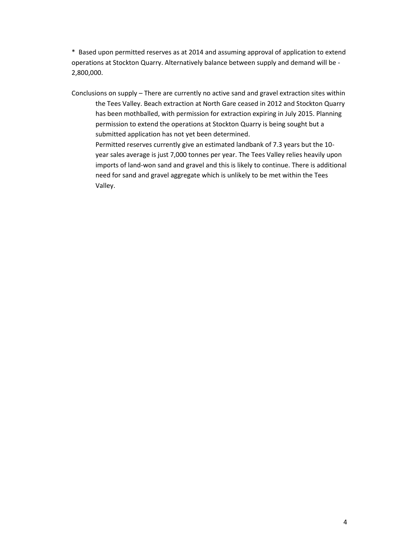\* Based upon permitted reserves as at 2014 and assuming approval of application to extend operations at Stockton Quarry. Alternatively balance between supply and demand will be - 2,800,000.

Conclusions on supply – There are currently no active sand and gravel extraction sites within the Tees Valley. Beach extraction at North Gare ceased in 2012 and Stockton Quarry has been mothballed, with permission for extraction expiring in July 2015. Planning permission to extend the operations at Stockton Quarry is being sought but a submitted application has not yet been determined.

Permitted reserves currently give an estimated landbank of 7.3 years but the 10 year sales average is just 7,000 tonnes per year. The Tees Valley relies heavily upon imports of land-won sand and gravel and this is likely to continue. There is additional need for sand and gravel aggregate which is unlikely to be met within the Tees Valley.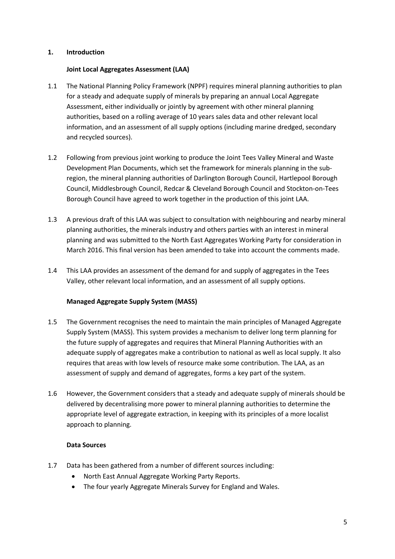# **1. Introduction**

# **Joint Local Aggregates Assessment (LAA)**

- 1.1 The National Planning Policy Framework (NPPF) requires mineral planning authorities to plan for a steady and adequate supply of minerals by preparing an annual Local Aggregate Assessment, either individually or jointly by agreement with other mineral planning authorities, based on a rolling average of 10 years sales data and other relevant local information, and an assessment of all supply options (including marine dredged, secondary and recycled sources).
- 1.2 Following from previous joint working to produce the Joint Tees Valley Mineral and Waste Development Plan Documents, which set the framework for minerals planning in the subregion, the mineral planning authorities of Darlington Borough Council, Hartlepool Borough Council, Middlesbrough Council, Redcar & Cleveland Borough Council and Stockton-on-Tees Borough Council have agreed to work together in the production of this joint LAA.
- 1.3 A previous draft of this LAA was subject to consultation with neighbouring and nearby mineral planning authorities, the minerals industry and others parties with an interest in mineral planning and was submitted to the North East Aggregates Working Party for consideration in March 2016. This final version has been amended to take into account the comments made.
- 1.4 This LAA provides an assessment of the demand for and supply of aggregates in the Tees Valley, other relevant local information, and an assessment of all supply options.

# **Managed Aggregate Supply System (MASS)**

- 1.5 The Government recognises the need to maintain the main principles of Managed Aggregate Supply System (MASS). This system provides a mechanism to deliver long term planning for the future supply of aggregates and requires that Mineral Planning Authorities with an adequate supply of aggregates make a contribution to national as well as local supply. It also requires that areas with low levels of resource make some contribution. The LAA, as an assessment of supply and demand of aggregates, forms a key part of the system.
- 1.6 However, the Government considers that a steady and adequate supply of minerals should be delivered by decentralising more power to mineral planning authorities to determine the appropriate level of aggregate extraction, in keeping with its principles of a more localist approach to planning.

#### **Data Sources**

- 1.7 Data has been gathered from a number of different sources including:
	- North East Annual Aggregate Working Party Reports.
	- The four yearly Aggregate Minerals Survey for England and Wales.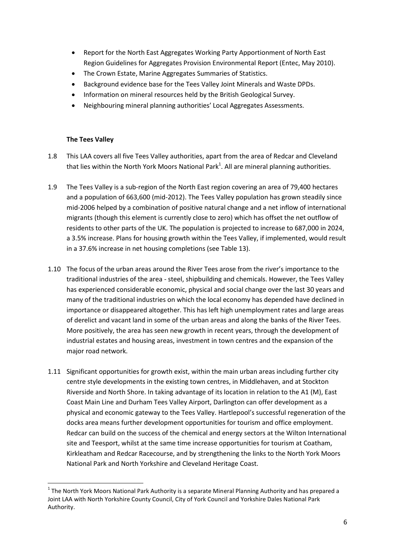- Report for the North East Aggregates Working Party Apportionment of North East Region Guidelines for Aggregates Provision Environmental Report (Entec, May 2010).
- The Crown Estate, Marine Aggregates Summaries of Statistics.
- Background evidence base for the Tees Valley Joint Minerals and Waste DPDs.
- Information on mineral resources held by the British Geological Survey.
- Neighbouring mineral planning authorities' Local Aggregates Assessments.

# **The Tees Valley**

**.** 

- 1.8 This LAA covers all five Tees Valley authorities, apart from the area of Redcar and Cleveland that lies within the North York Moors National Park<sup>1</sup>. All are mineral planning authorities.
- 1.9 The Tees Valley is a sub-region of the North East region covering an area of 79,400 hectares and a population of 663,600 (mid-2012). The Tees Valley population has grown steadily since mid-2006 helped by a combination of positive natural change and a net inflow of international migrants (though this element is currently close to zero) which has offset the net outflow of residents to other parts of the UK. The population is projected to increase to 687,000 in 2024, a 3.5% increase. Plans for housing growth within the Tees Valley, if implemented, would result in a 37.6% increase in net housing completions (see Table 13).
- 1.10 The focus of the urban areas around the River Tees arose from the river's importance to the traditional industries of the area - steel, shipbuilding and chemicals. However, the Tees Valley has experienced considerable economic, physical and social change over the last 30 years and many of the traditional industries on which the local economy has depended have declined in importance or disappeared altogether. This has left high unemployment rates and large areas of derelict and vacant land in some of the urban areas and along the banks of the River Tees. More positively, the area has seen new growth in recent years, through the development of industrial estates and housing areas, investment in town centres and the expansion of the major road network.
- 1.11 Significant opportunities for growth exist, within the main urban areas including further city centre style developments in the existing town centres, in Middlehaven, and at Stockton Riverside and North Shore. In taking advantage of its location in relation to the A1 (M), East Coast Main Line and Durham Tees Valley Airport, Darlington can offer development as a physical and economic gateway to the Tees Valley. Hartlepool's successful regeneration of the docks area means further development opportunities for tourism and office employment. Redcar can build on the success of the chemical and energy sectors at the Wilton International site and Teesport, whilst at the same time increase opportunities for tourism at Coatham, Kirkleatham and Redcar Racecourse, and by strengthening the links to the North York Moors National Park and North Yorkshire and Cleveland Heritage Coast.

 $1$  The North York Moors National Park Authority is a separate Mineral Planning Authority and has prepared a Joint LAA with North Yorkshire County Council, City of York Council and Yorkshire Dales National Park Authority.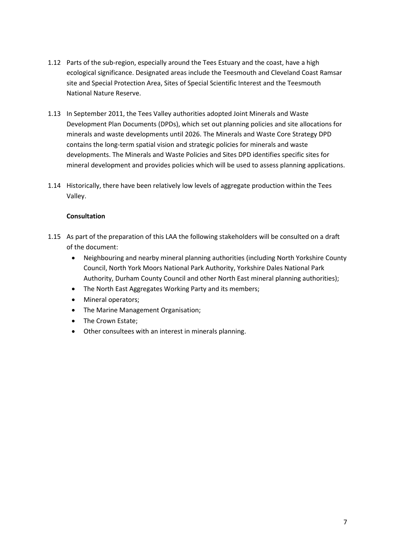- 1.12 Parts of the sub-region, especially around the Tees Estuary and the coast, have a high ecological significance. Designated areas include the Teesmouth and Cleveland Coast Ramsar site and Special Protection Area, Sites of Special Scientific Interest and the Teesmouth National Nature Reserve.
- 1.13 In September 2011, the Tees Valley authorities adopted Joint Minerals and Waste Development Plan Documents (DPDs), which set out planning policies and site allocations for minerals and waste developments until 2026. The Minerals and Waste Core Strategy DPD contains the long-term spatial vision and strategic policies for minerals and waste developments. The Minerals and Waste Policies and Sites DPD identifies specific sites for mineral development and provides policies which will be used to assess planning applications.
- 1.14 Historically, there have been relatively low levels of aggregate production within the Tees Valley.

# **Consultation**

- 1.15 As part of the preparation of this LAA the following stakeholders will be consulted on a draft of the document:
	- Neighbouring and nearby mineral planning authorities (including North Yorkshire County Council, North York Moors National Park Authority, Yorkshire Dales National Park Authority, Durham County Council and other North East mineral planning authorities);
	- The North East Aggregates Working Party and its members;
	- Mineral operators;
	- The Marine Management Organisation;
	- The Crown Estate:
	- Other consultees with an interest in minerals planning.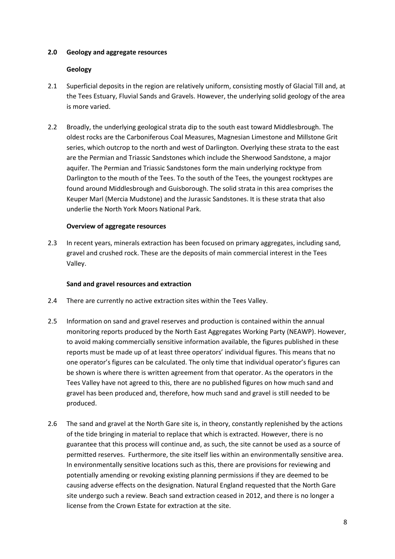# **2.0 Geology and aggregate resources**

# **Geology**

- 2.1 Superficial deposits in the region are relatively uniform, consisting mostly of Glacial Till and, at the Tees Estuary, Fluvial Sands and Gravels. However, the underlying solid geology of the area is more varied.
- 2.2 Broadly, the underlying geological strata dip to the south east toward Middlesbrough. The oldest rocks are the Carboniferous Coal Measures, Magnesian Limestone and Millstone Grit series, which outcrop to the north and west of Darlington. Overlying these strata to the east are the Permian and Triassic Sandstones which include the Sherwood Sandstone, a major aquifer. The Permian and Triassic Sandstones form the main underlying rocktype from Darlington to the mouth of the Tees. To the south of the Tees, the youngest rocktypes are found around Middlesbrough and Guisborough. The solid strata in this area comprises the Keuper Marl (Mercia Mudstone) and the Jurassic Sandstones. It is these strata that also underlie the North York Moors National Park.

# **Overview of aggregate resources**

2.3 In recent years, minerals extraction has been focused on primary aggregates, including sand, gravel and crushed rock. These are the deposits of main commercial interest in the Tees Valley.

#### **Sand and gravel resources and extraction**

- 2.4 There are currently no active extraction sites within the Tees Valley.
- 2.5 Information on sand and gravel reserves and production is contained within the annual monitoring reports produced by the North East Aggregates Working Party (NEAWP). However, to avoid making commercially sensitive information available, the figures published in these reports must be made up of at least three operators' individual figures. This means that no one operator's figures can be calculated. The only time that individual operator's figures can be shown is where there is written agreement from that operator. As the operators in the Tees Valley have not agreed to this, there are no published figures on how much sand and gravel has been produced and, therefore, how much sand and gravel is still needed to be produced.
- 2.6 The sand and gravel at the North Gare site is, in theory, constantly replenished by the actions of the tide bringing in material to replace that which is extracted. However, there is no guarantee that this process will continue and, as such, the site cannot be used as a source of permitted reserves. Furthermore, the site itself lies within an environmentally sensitive area. In environmentally sensitive locations such as this, there are provisions for reviewing and potentially amending or revoking existing planning permissions if they are deemed to be causing adverse effects on the designation. Natural England requested that the North Gare site undergo such a review. Beach sand extraction ceased in 2012, and there is no longer a license from the Crown Estate for extraction at the site.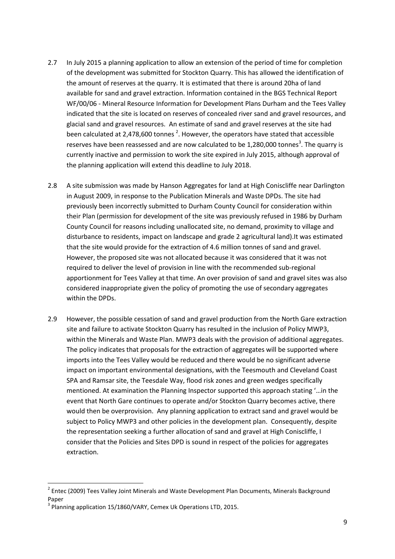- 2.7 In July 2015 a planning application to allow an extension of the period of time for completion of the development was submitted for Stockton Quarry. This has allowed the identification of the amount of reserves at the quarry. It is estimated that there is around 20ha of land available for sand and gravel extraction. Information contained in the BGS Technical Report WF/00/06 - Mineral Resource Information for Development Plans Durham and the Tees Valley indicated that the site is located on reserves of concealed river sand and gravel resources, and glacial sand and gravel resources. An estimate of sand and gravel reserves at the site had been calculated at 2,478,600 tonnes<sup>2</sup>. However, the operators have stated that accessible reserves have been reassessed and are now calculated to be 1,280,000 tonnes<sup>3</sup>. The quarry is currently inactive and permission to work the site expired in July 2015, although approval of the planning application will extend this deadline to July 2018.
- 2.8 A site submission was made by Hanson Aggregates for land at High Coniscliffe near Darlington in August 2009, in response to the Publication Minerals and Waste DPDs. The site had previously been incorrectly submitted to Durham County Council for consideration within their Plan (permission for development of the site was previously refused in 1986 by Durham County Council for reasons including unallocated site, no demand, proximity to village and disturbance to residents, impact on landscape and grade 2 agricultural land).It was estimated that the site would provide for the extraction of 4.6 million tonnes of sand and gravel. However, the proposed site was not allocated because it was considered that it was not required to deliver the level of provision in line with the recommended sub-regional apportionment for Tees Valley at that time. An over provision of sand and gravel sites was also considered inappropriate given the policy of promoting the use of secondary aggregates within the DPDs.
- 2.9 However, the possible cessation of sand and gravel production from the North Gare extraction site and failure to activate Stockton Quarry has resulted in the inclusion of Policy MWP3, within the Minerals and Waste Plan. MWP3 deals with the provision of additional aggregates. The policy indicates that proposals for the extraction of aggregates will be supported where imports into the Tees Valley would be reduced and there would be no significant adverse impact on important environmental designations, with the Teesmouth and Cleveland Coast SPA and Ramsar site, the Teesdale Way, flood risk zones and green wedges specifically mentioned. At examination the Planning Inspector supported this approach stating '…in the event that North Gare continues to operate and/or Stockton Quarry becomes active, there would then be overprovision. Any planning application to extract sand and gravel would be subject to Policy MWP3 and other policies in the development plan. Consequently, despite the representation seeking a further allocation of sand and gravel at High Coniscliffe, I consider that the Policies and Sites DPD is sound in respect of the policies for aggregates extraction.

**.** 

<sup>&</sup>lt;sup>2</sup> Entec (2009) Tees Valley Joint Minerals and Waste Development Plan Documents, Minerals Background Paper

<sup>&</sup>lt;sup>3</sup> Planning application 15/1860/VARY, Cemex Uk Operations LTD, 2015.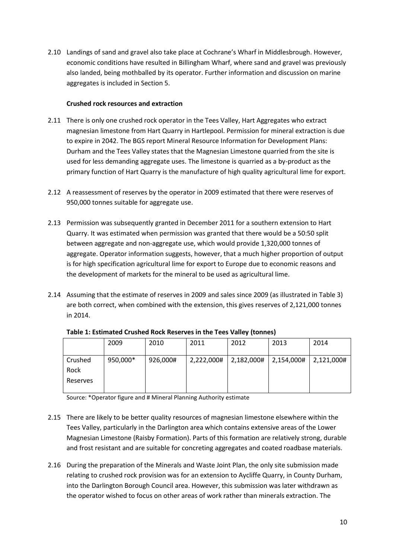2.10 Landings of sand and gravel also take place at Cochrane's Wharf in Middlesbrough. However, economic conditions have resulted in Billingham Wharf, where sand and gravel was previously also landed, being mothballed by its operator. Further information and discussion on marine aggregates is included in Section 5.

# **Crushed rock resources and extraction**

- 2.11 There is only one crushed rock operator in the Tees Valley, Hart Aggregates who extract magnesian limestone from Hart Quarry in Hartlepool. Permission for mineral extraction is due to expire in 2042. The BGS report Mineral Resource Information for Development Plans: Durham and the Tees Valley states that the Magnesian Limestone quarried from the site is used for less demanding aggregate uses. The limestone is quarried as a by-product as the primary function of Hart Quarry is the manufacture of high quality agricultural lime for export.
- 2.12 A reassessment of reserves by the operator in 2009 estimated that there were reserves of 950,000 tonnes suitable for aggregate use.
- 2.13 Permission was subsequently granted in December 2011 for a southern extension to Hart Quarry. It was estimated when permission was granted that there would be a 50:50 split between aggregate and non-aggregate use, which would provide 1,320,000 tonnes of aggregate. Operator information suggests, however, that a much higher proportion of output is for high specification agricultural lime for export to Europe due to economic reasons and the development of markets for the mineral to be used as agricultural lime.
- 2.14 Assuming that the estimate of reserves in 2009 and sales since 2009 (as illustrated in Table 3) are both correct, when combined with the extension, this gives reserves of 2,121,000 tonnes in 2014.

|          | 2009     | 2010     | 2011       | 2012       | 2013       | 2014       |
|----------|----------|----------|------------|------------|------------|------------|
| Crushed  | 950,000* | 926,000# | 2,222,000# | 2,182,000# | 2,154,000# | 2,121,000# |
| Rock     |          |          |            |            |            |            |
| Reserves |          |          |            |            |            |            |
|          |          |          |            |            |            |            |

**Table 1: Estimated Crushed Rock Reserves in the Tees Valley (tonnes)**

Source: \*Operator figure and # Mineral Planning Authority estimate

- 2.15 There are likely to be better quality resources of magnesian limestone elsewhere within the Tees Valley, particularly in the Darlington area which contains extensive areas of the Lower Magnesian Limestone (Raisby Formation). Parts of this formation are relatively strong, durable and frost resistant and are suitable for concreting aggregates and coated roadbase materials.
- 2.16 During the preparation of the Minerals and Waste Joint Plan, the only site submission made relating to crushed rock provision was for an extension to Aycliffe Quarry, in County Durham, into the Darlington Borough Council area. However, this submission was later withdrawn as the operator wished to focus on other areas of work rather than minerals extraction. The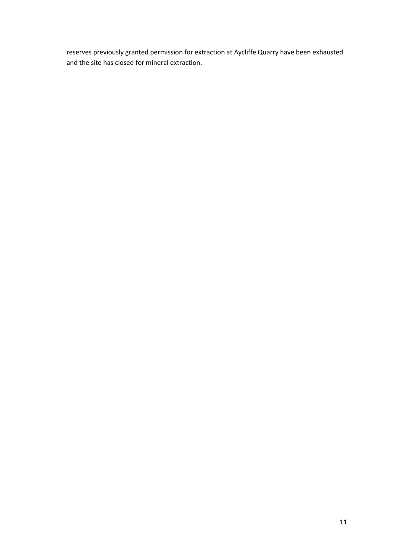reserves previously granted permission for extraction at Aycliffe Quarry have been exhausted and the site has closed for mineral extraction.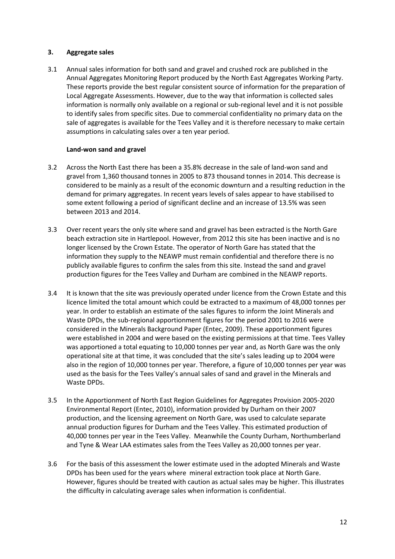# **3. Aggregate sales**

3.1 Annual sales information for both sand and gravel and crushed rock are published in the Annual Aggregates Monitoring Report produced by the North East Aggregates Working Party. These reports provide the best regular consistent source of information for the preparation of Local Aggregate Assessments. However, due to the way that information is collected sales information is normally only available on a regional or sub-regional level and it is not possible to identify sales from specific sites. Due to commercial confidentiality no primary data on the sale of aggregates is available for the Tees Valley and it is therefore necessary to make certain assumptions in calculating sales over a ten year period.

# **Land-won sand and gravel**

- 3.2 Across the North East there has been a 35.8% decrease in the sale of land-won sand and gravel from 1,360 thousand tonnes in 2005 to 873 thousand tonnes in 2014. This decrease is considered to be mainly as a result of the economic downturn and a resulting reduction in the demand for primary aggregates. In recent years levels of sales appear to have stabilised to some extent following a period of significant decline and an increase of 13.5% was seen between 2013 and 2014.
- 3.3 Over recent years the only site where sand and gravel has been extracted is the North Gare beach extraction site in Hartlepool. However, from 2012 this site has been inactive and is no longer licensed by the Crown Estate. The operator of North Gare has stated that the information they supply to the NEAWP must remain confidential and therefore there is no publicly available figures to confirm the sales from this site. Instead the sand and gravel production figures for the Tees Valley and Durham are combined in the NEAWP reports.
- 3.4 It is known that the site was previously operated under licence from the Crown Estate and this licence limited the total amount which could be extracted to a maximum of 48,000 tonnes per year. In order to establish an estimate of the sales figures to inform the Joint Minerals and Waste DPDs, the sub-regional apportionment figures for the period 2001 to 2016 were considered in the Minerals Background Paper (Entec, 2009). These apportionment figures were established in 2004 and were based on the existing permissions at that time. Tees Valley was apportioned a total equating to 10,000 tonnes per year and, as North Gare was the only operational site at that time, it was concluded that the site's sales leading up to 2004 were also in the region of 10,000 tonnes per year. Therefore, a figure of 10,000 tonnes per year was used as the basis for the Tees Valley's annual sales of sand and gravel in the Minerals and Waste DPDs.
- 3.5 In the Apportionment of North East Region Guidelines for Aggregates Provision 2005-2020 Environmental Report (Entec, 2010), information provided by Durham on their 2007 production, and the licensing agreement on North Gare, was used to calculate separate annual production figures for Durham and the Tees Valley. This estimated production of 40,000 tonnes per year in the Tees Valley. Meanwhile the County Durham, Northumberland and Tyne & Wear LAA estimates sales from the Tees Valley as 20,000 tonnes per year.
- 3.6 For the basis of this assessment the lower estimate used in the adopted Minerals and Waste DPDs has been used for the years where mineral extraction took place at North Gare. However, figures should be treated with caution as actual sales may be higher. This illustrates the difficulty in calculating average sales when information is confidential.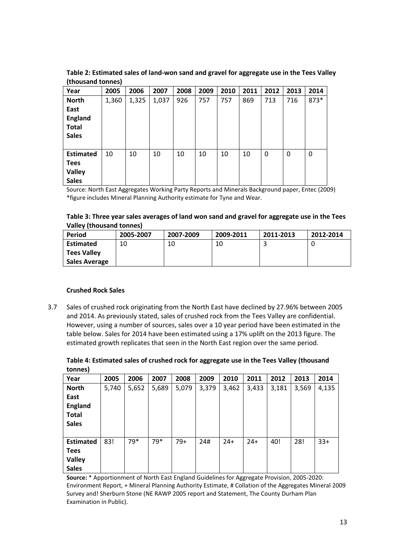| Year             | 2005  | 2006  | 2007  | 2008 | 2009 | 2010 | 2011 | 2012 | 2013     | 2014 |
|------------------|-------|-------|-------|------|------|------|------|------|----------|------|
| <b>North</b>     | 1,360 | 1,325 | 1,037 | 926  | 757  | 757  | 869  | 713  | 716      | 873* |
| East             |       |       |       |      |      |      |      |      |          |      |
| <b>England</b>   |       |       |       |      |      |      |      |      |          |      |
| <b>Total</b>     |       |       |       |      |      |      |      |      |          |      |
| <b>Sales</b>     |       |       |       |      |      |      |      |      |          |      |
|                  |       |       |       |      |      |      |      |      |          |      |
| <b>Estimated</b> | 10    | 10    | 10    | 10   | 10   | 10   | 10   | 0    | $\Omega$ | 0    |
| <b>Tees</b>      |       |       |       |      |      |      |      |      |          |      |
| Valley           |       |       |       |      |      |      |      |      |          |      |
| <b>Sales</b>     |       |       |       |      |      |      |      |      |          |      |

**Table 2: Estimated sales of land-won sand and gravel for aggregate use in the Tees Valley (thousand tonnes)**

Source: North East Aggregates Working Party Reports and Minerals Background paper, Entec (2009) \*figure includes Mineral Planning Authority estimate for Tyne and Wear.

#### **Table 3: Three year sales averages of land won sand and gravel for aggregate use in the Tees Valley (thousand tonnes)**

| Period               | 2005-2007 | 2007-2009 | 2009-2011 | 2011-2013 | 2012-2014 |
|----------------------|-----------|-----------|-----------|-----------|-----------|
| Estimated            |           | 10        | 10        |           |           |
| <b>Tees Valley</b>   |           |           |           |           |           |
| <b>Sales Average</b> |           |           |           |           |           |

# **Crushed Rock Sales**

3.7 Sales of crushed rock originating from the North East have declined by 27.96% between 2005 and 2014. As previously stated, sales of crushed rock from the Tees Valley are confidential. However, using a number of sources, sales over a 10 year period have been estimated in the table below. Sales for 2014 have been estimated using a 17% uplift on the 2013 figure. The estimated growth replicates that seen in the North East region over the same period.

# **Table 4: Estimated sales of crushed rock for aggregate use in the Tees Valley (thousand tonnes)**

| Year             | 2005  | 2006  | 2007  | 2008  | 2009  | 2010  | 2011  | 2012  | 2013  | 2014  |
|------------------|-------|-------|-------|-------|-------|-------|-------|-------|-------|-------|
| <b>North</b>     | 5,740 | 5,652 | 5,689 | 5,079 | 3,379 | 3,462 | 3,433 | 3,181 | 3,569 | 4,135 |
| East             |       |       |       |       |       |       |       |       |       |       |
| <b>England</b>   |       |       |       |       |       |       |       |       |       |       |
| <b>Total</b>     |       |       |       |       |       |       |       |       |       |       |
| <b>Sales</b>     |       |       |       |       |       |       |       |       |       |       |
|                  |       |       |       |       |       |       |       |       |       |       |
| <b>Estimated</b> | 83!   | 79*   | 79*   | $79+$ | 24#   | $24+$ | $24+$ | 40!   | 28!   | $33+$ |
| <b>Tees</b>      |       |       |       |       |       |       |       |       |       |       |
| <b>Valley</b>    |       |       |       |       |       |       |       |       |       |       |
| <b>Sales</b>     |       |       |       |       |       |       |       |       |       |       |

**Source:** \* Apportionment of North East England Guidelines for Aggregate Provision, 2005-2020: Environment Report, + Mineral Planning Authority Estimate, # Collation of the Aggregates Mineral 2009 Survey and! Sherburn Stone (NE RAWP 2005 report and Statement, The County Durham Plan Examination in Public).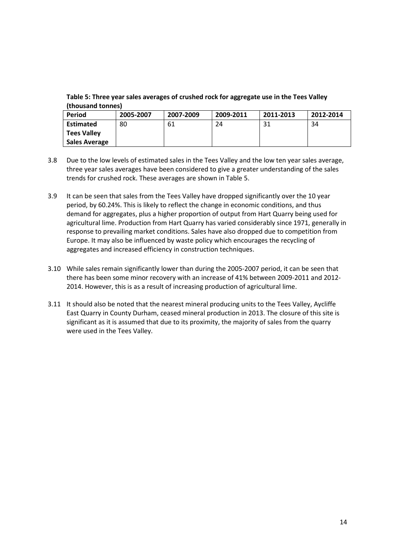**Table 5: Three year sales averages of crushed rock for aggregate use in the Tees Valley (thousand tonnes)**

| Period               | 2005-2007 | 2007-2009 | 2009-2011 | 2011-2013 | 2012-2014 |
|----------------------|-----------|-----------|-----------|-----------|-----------|
| <b>Estimated</b>     | 80        | 61        | 24        | -31       | 34        |
| <b>Tees Valley</b>   |           |           |           |           |           |
| <b>Sales Average</b> |           |           |           |           |           |

- 3.8 Due to the low levels of estimated sales in the Tees Valley and the low ten year sales average, three year sales averages have been considered to give a greater understanding of the sales trends for crushed rock. These averages are shown in Table 5.
- 3.9 It can be seen that sales from the Tees Valley have dropped significantly over the 10 year period, by 60.24%. This is likely to reflect the change in economic conditions, and thus demand for aggregates, plus a higher proportion of output from Hart Quarry being used for agricultural lime. Production from Hart Quarry has varied considerably since 1971, generally in response to prevailing market conditions. Sales have also dropped due to competition from Europe. It may also be influenced by waste policy which encourages the recycling of aggregates and increased efficiency in construction techniques.
- 3.10 While sales remain significantly lower than during the 2005-2007 period, it can be seen that there has been some minor recovery with an increase of 41% between 2009-2011 and 2012- 2014. However, this is as a result of increasing production of agricultural lime.
- 3.11 It should also be noted that the nearest mineral producing units to the Tees Valley, Aycliffe East Quarry in County Durham, ceased mineral production in 2013. The closure of this site is significant as it is assumed that due to its proximity, the majority of sales from the quarry were used in the Tees Valley.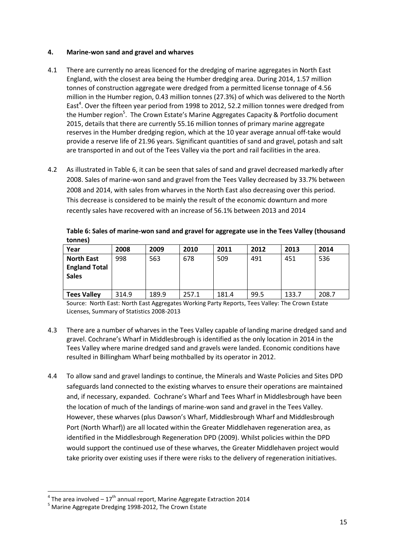# **4. Marine-won sand and gravel and wharves**

- 4.1 There are currently no areas licenced for the dredging of marine aggregates in North East England, with the closest area being the Humber dredging area. During 2014, 1.57 million tonnes of construction aggregate were dredged from a permitted license tonnage of 4.56 million in the Humber region, 0.43 million tonnes (27.3%) of which was delivered to the North East<sup>4</sup>. Over the fifteen year period from 1998 to 2012, 52.2 million tonnes were dredged from the Humber region<sup>5</sup>. The Crown Estate's Marine Aggregates Capacity & Portfolio document 2015, details that there are currently 55.16 million tonnes of primary marine aggregate reserves in the Humber dredging region, which at the 10 year average annual off-take would provide a reserve life of 21.96 years. Significant quantities of sand and gravel, potash and salt are transported in and out of the Tees Valley via the port and rail facilities in the area.
- 4.2 As illustrated in Table 6, it can be seen that sales of sand and gravel decreased markedly after 2008. Sales of marine-won sand and gravel from the Tees Valley decreased by 33.7% between 2008 and 2014, with sales from wharves in the North East also decreasing over this period. This decrease is considered to be mainly the result of the economic downturn and more recently sales have recovered with an increase of 56.1% between 2013 and 2014

| Year                                 | 2008  | 2009  | 2010  | 2011  | 2012 | 2013  | 2014  |
|--------------------------------------|-------|-------|-------|-------|------|-------|-------|
| <b>North East</b>                    | 998   | 563   | 678   | 509   | 491  | 451   | 536   |
| <b>England Total</b><br><b>Sales</b> |       |       |       |       |      |       |       |
| <b>Tees Valley</b>                   | 314.9 | 189.9 | 257.1 | 181.4 | 99.5 | 133.7 | 208.7 |

| Table 6: Sales of marine-won sand and gravel for aggregate use in the Tees Valley (thousand |  |
|---------------------------------------------------------------------------------------------|--|
| tonnes)                                                                                     |  |

Source: North East: North East Aggregates Working Party Reports, Tees Valley: The Crown Estate Licenses, Summary of Statistics 2008-2013

- 4.3 There are a number of wharves in the Tees Valley capable of landing marine dredged sand and gravel. Cochrane's Wharf in Middlesbrough is identified as the only location in 2014 in the Tees Valley where marine dredged sand and gravels were landed. Economic conditions have resulted in Billingham Wharf being mothballed by its operator in 2012.
- 4.4 To allow sand and gravel landings to continue, the Minerals and Waste Policies and Sites DPD safeguards land connected to the existing wharves to ensure their operations are maintained and, if necessary, expanded. Cochrane's Wharf and Tees Wharf in Middlesbrough have been the location of much of the landings of marine-won sand and gravel in the Tees Valley. However, these wharves (plus Dawson's Wharf, Middlesbrough Wharf and Middlesbrough Port (North Wharf)) are all located within the Greater Middlehaven regeneration area, as identified in the Middlesbrough Regeneration DPD (2009). Whilst policies within the DPD would support the continued use of these wharves, the Greater Middlehaven project would take priority over existing uses if there were risks to the delivery of regeneration initiatives.

 4 The area involved – 17 th annual report, Marine Aggregate Extraction 2014

<sup>5</sup> Marine Aggregate Dredging 1998-2012, The Crown Estate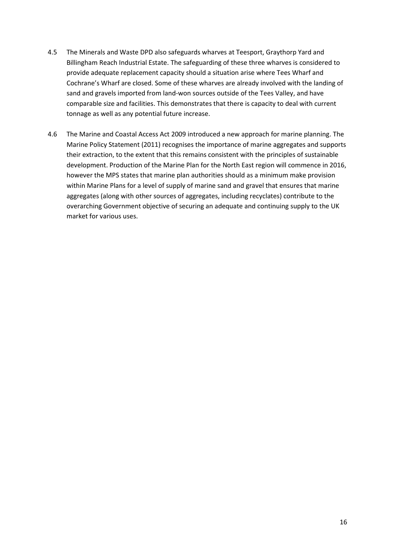- 4.5 The Minerals and Waste DPD also safeguards wharves at Teesport, Graythorp Yard and Billingham Reach Industrial Estate. The safeguarding of these three wharves is considered to provide adequate replacement capacity should a situation arise where Tees Wharf and Cochrane's Wharf are closed. Some of these wharves are already involved with the landing of sand and gravels imported from land-won sources outside of the Tees Valley, and have comparable size and facilities. This demonstrates that there is capacity to deal with current tonnage as well as any potential future increase.
- 4.6 The Marine and Coastal Access Act 2009 introduced a new approach for marine planning. The Marine Policy Statement (2011) recognises the importance of marine aggregates and supports their extraction, to the extent that this remains consistent with the principles of sustainable development. Production of the Marine Plan for the North East region will commence in 2016, however the MPS states that marine plan authorities should as a minimum make provision within Marine Plans for a level of supply of marine sand and gravel that ensures that marine aggregates (along with other sources of aggregates, including recyclates) contribute to the overarching Government objective of securing an adequate and continuing supply to the UK market for various uses.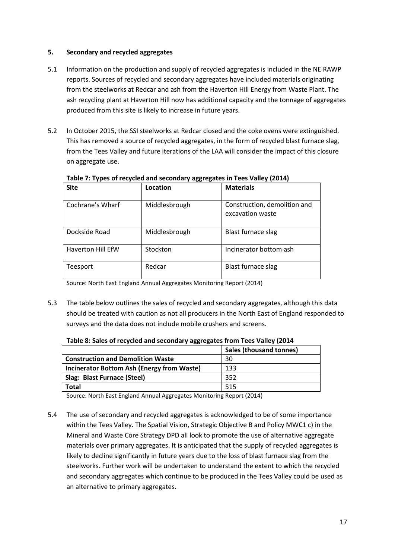# **5. Secondary and recycled aggregates**

- 5.1 Information on the production and supply of recycled aggregates is included in the NE RAWP reports. Sources of recycled and secondary aggregates have included materials originating from the steelworks at Redcar and ash from the Haverton Hill Energy from Waste Plant. The ash recycling plant at Haverton Hill now has additional capacity and the tonnage of aggregates produced from this site is likely to increase in future years.
- 5.2 In October 2015, the SSI steelworks at Redcar closed and the coke ovens were extinguished. This has removed a source of recycled aggregates, in the form of recycled blast furnace slag, from the Tees Valley and future iterations of the LAA will consider the impact of this closure on aggregate use.

| <b>Site</b>              | Location      | <b>Materials</b>                                 |
|--------------------------|---------------|--------------------------------------------------|
| Cochrane's Wharf         | Middlesbrough | Construction, demolition and<br>excavation waste |
| Dockside Road            | Middlesbrough | Blast furnace slag                               |
| <b>Haverton Hill EfW</b> | Stockton      | Incinerator bottom ash                           |
| Teesport                 | Redcar        | Blast furnace slag                               |

**Table 7: Types of recycled and secondary aggregates in Tees Valley (2014)**

Source: North East England Annual Aggregates Monitoring Report (2014)

5.3 The table below outlines the sales of recycled and secondary aggregates, although this data should be treated with caution as not all producers in the North East of England responded to surveys and the data does not include mobile crushers and screens.

| Table 8: Sales of recycled and secondary aggregates from Tees Valley (2014 |  |  |
|----------------------------------------------------------------------------|--|--|
|----------------------------------------------------------------------------|--|--|

|                                            | <b>Sales (thousand tonnes)</b> |
|--------------------------------------------|--------------------------------|
| <b>Construction and Demolition Waste</b>   | 30                             |
| Incinerator Bottom Ash (Energy from Waste) | 133                            |
| Slag: Blast Furnace (Steel)                | 352                            |
| <b>Total</b>                               | 515                            |

Source: North East England Annual Aggregates Monitoring Report (2014)

5.4 The use of secondary and recycled aggregates is acknowledged to be of some importance within the Tees Valley. The Spatial Vision, Strategic Objective B and Policy MWC1 c) in the Mineral and Waste Core Strategy DPD all look to promote the use of alternative aggregate materials over primary aggregates. It is anticipated that the supply of recycled aggregates is likely to decline significantly in future years due to the loss of blast furnace slag from the steelworks. Further work will be undertaken to understand the extent to which the recycled and secondary aggregates which continue to be produced in the Tees Valley could be used as an alternative to primary aggregates.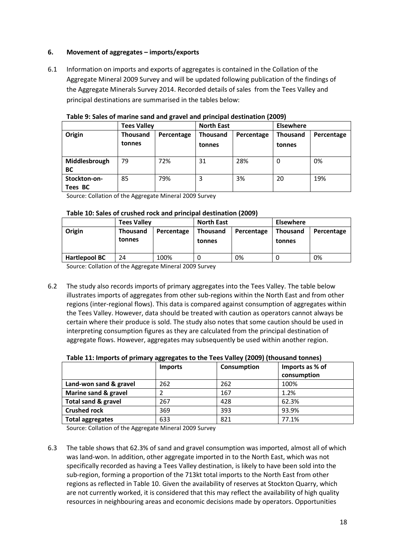# **6. Movement of aggregates – imports/exports**

6.1 Information on imports and exports of aggregates is contained in the Collation of the Aggregate Mineral 2009 Survey and will be updated following publication of the findings of the Aggregate Minerals Survey 2014. Recorded details of sales from the Tees Valley and principal destinations are summarised in the tables below:

|                            | <b>Tees Valley</b>        |            | <b>North East</b>         |            | <b>Elsewhere</b>          |            |
|----------------------------|---------------------------|------------|---------------------------|------------|---------------------------|------------|
| Origin                     | <b>Thousand</b><br>tonnes | Percentage | <b>Thousand</b><br>tonnes | Percentage | <b>Thousand</b><br>tonnes | Percentage |
| Middlesbrough<br><b>BC</b> | 79                        | 72%        | 31                        | 28%        | 0                         | 0%         |
| Stockton-on-<br>Tees BC    | 85                        | 79%        | 3                         | 3%         | 20                        | 19%        |

**Table 9: Sales of marine sand and gravel and principal destination (2009)**

Source: Collation of the Aggregate Mineral 2009 Survey

# **Table 10: Sales of crushed rock and principal destination (2009)**

|                      | <b>Tees Valley</b>        |            | <b>North East</b>         |            | <b>Elsewhere</b>   |            |
|----------------------|---------------------------|------------|---------------------------|------------|--------------------|------------|
| Origin               | <b>Thousand</b><br>tonnes | Percentage | <b>Thousand</b><br>tonnes | Percentage | Thousand<br>tonnes | Percentage |
| <b>Hartlepool BC</b> | 24                        | 100%       |                           | 0%         |                    | 0%         |

Source: Collation of the Aggregate Mineral 2009 Survey

6.2 The study also records imports of primary aggregates into the Tees Valley. The table below illustrates imports of aggregates from other sub-regions within the North East and from other regions (inter-regional flows). This data is compared against consumption of aggregates within the Tees Valley. However, data should be treated with caution as operators cannot always be certain where their produce is sold. The study also notes that some caution should be used in interpreting consumption figures as they are calculated from the principal destination of aggregate flows. However, aggregates may subsequently be used within another region.

| Table 11: Imports of primary aggregates to the Tees Valley (2009) (thousand tonnes) |  |
|-------------------------------------------------------------------------------------|--|
|-------------------------------------------------------------------------------------|--|

|                                | <b>Imports</b> | <b>Consumption</b> | Imports as % of |
|--------------------------------|----------------|--------------------|-----------------|
|                                |                |                    | consumption     |
| Land-won sand & gravel         | 262            | 262                | 100%            |
| Marine sand & gravel           |                | 167                | 1.2%            |
| <b>Total sand &amp; gravel</b> | 267            | 428                | 62.3%           |
| <b>Crushed rock</b>            | 369            | 393                | 93.9%           |
| <b>Total aggregates</b>        | 633            | 821                | 77.1%           |

Source: Collation of the Aggregate Mineral 2009 Survey

6.3 The table shows that 62.3% of sand and gravel consumption was imported, almost all of which was land-won. In addition, other aggregate imported in to the North East, which was not specifically recorded as having a Tees Valley destination, is likely to have been sold into the sub-region, forming a proportion of the 713kt total imports to the North East from other regions as reflected in Table 10. Given the availability of reserves at Stockton Quarry, which are not currently worked, it is considered that this may reflect the availability of high quality resources in neighbouring areas and economic decisions made by operators. Opportunities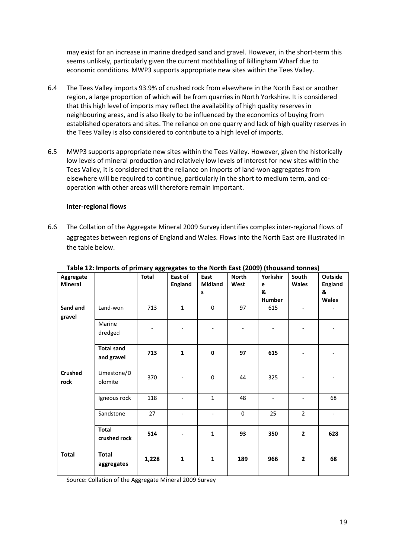may exist for an increase in marine dredged sand and gravel. However, in the short-term this seems unlikely, particularly given the current mothballing of Billingham Wharf due to economic conditions. MWP3 supports appropriate new sites within the Tees Valley.

- 6.4 The Tees Valley imports 93.9% of crushed rock from elsewhere in the North East or another region, a large proportion of which will be from quarries in North Yorkshire. It is considered that this high level of imports may reflect the availability of high quality reserves in neighbouring areas, and is also likely to be influenced by the economics of buying from established operators and sites. The reliance on one quarry and lack of high quality reserves in the Tees Valley is also considered to contribute to a high level of imports.
- 6.5 MWP3 supports appropriate new sites within the Tees Valley. However, given the historically low levels of mineral production and relatively low levels of interest for new sites within the Tees Valley, it is considered that the reliance on imports of land-won aggregates from elsewhere will be required to continue, particularly in the short to medium term, and cooperation with other areas will therefore remain important.

# **Inter-regional flows**

6.6 The Collation of the Aggregate Mineral 2009 Survey identifies complex inter-regional flows of aggregates between regions of England and Wales. Flows into the North East are illustrated in the table below.

| Aggregate<br><b>Mineral</b> |                                 | <b>Total</b> | East of<br><b>England</b> | East<br><b>Midland</b><br>s | <b>North</b><br>West | Yorkshir<br>e<br>&<br>Humber | South<br><b>Wales</b>    | Outside<br><b>England</b><br>&<br><b>Wales</b> |
|-----------------------------|---------------------------------|--------------|---------------------------|-----------------------------|----------------------|------------------------------|--------------------------|------------------------------------------------|
| Sand and<br>gravel          | Land-won                        | 713          | $\mathbf 1$               | $\mathbf 0$                 | 97                   | 615                          | $\blacksquare$           |                                                |
|                             | Marine<br>dredged               |              |                           |                             |                      | $\qquad \qquad -$            | $\overline{\phantom{0}}$ |                                                |
|                             | <b>Total sand</b><br>and gravel | 713          | $\mathbf{1}$              | $\mathbf 0$                 | 97                   | 615                          |                          |                                                |
| <b>Crushed</b><br>rock      | Limestone/D<br>olomite          | 370          |                           | $\mathbf 0$                 | 44                   | 325                          |                          |                                                |
|                             | Igneous rock                    | 118          | $\overline{a}$            | $\mathbf{1}$                | 48                   | $\overline{\phantom{a}}$     | $\overline{\phantom{0}}$ | 68                                             |
|                             | Sandstone                       | 27           | $\overline{\phantom{m}}$  | $\overline{\phantom{0}}$    | $\mathbf 0$          | 25                           | $\overline{2}$           | $\blacksquare$                                 |
|                             | <b>Total</b><br>crushed rock    | 514          |                           | $\mathbf{1}$                | 93                   | 350                          | $\overline{\mathbf{2}}$  | 628                                            |
| <b>Total</b>                | <b>Total</b><br>aggregates      | 1,228        | $\mathbf 1$               | $\mathbf{1}$                | 189                  | 966                          | $\overline{2}$           | 68                                             |

#### **Table 12: Imports of primary aggregates to the North East (2009) (thousand tonnes)**

Source: Collation of the Aggregate Mineral 2009 Survey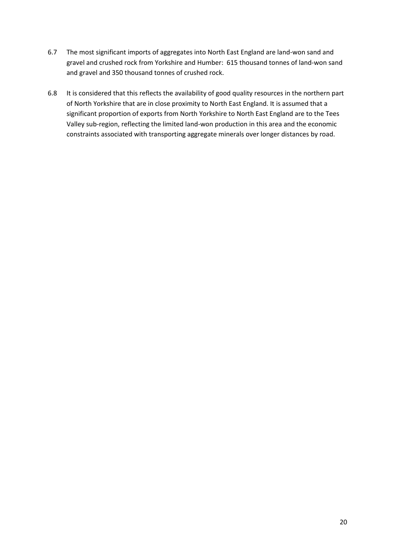- 6.7 The most significant imports of aggregates into North East England are land-won sand and gravel and crushed rock from Yorkshire and Humber: 615 thousand tonnes of land-won sand and gravel and 350 thousand tonnes of crushed rock.
- 6.8 It is considered that this reflects the availability of good quality resources in the northern part of North Yorkshire that are in close proximity to North East England. It is assumed that a significant proportion of exports from North Yorkshire to North East England are to the Tees Valley sub-region, reflecting the limited land-won production in this area and the economic constraints associated with transporting aggregate minerals over longer distances by road.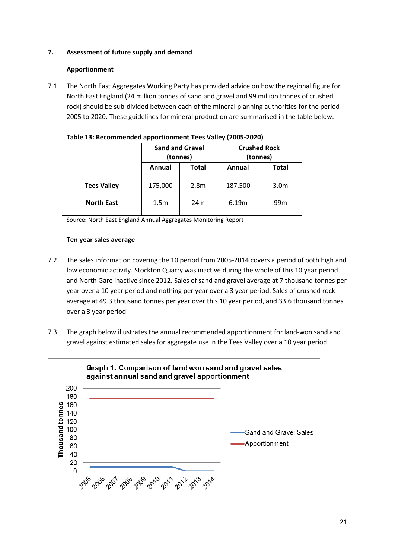# **7. Assessment of future supply and demand**

# **Apportionment**

7.1 The North East Aggregates Working Party has provided advice on how the regional figure for North East England (24 million tonnes of sand and gravel and 99 million tonnes of crushed rock) should be sub-divided between each of the mineral planning authorities for the period 2005 to 2020. These guidelines for mineral production are summarised in the table below.

|                    | <b>Sand and Gravel</b><br>(tonnes) |                  | <b>Crushed Rock</b><br>(tonnes) |                  |  |
|--------------------|------------------------------------|------------------|---------------------------------|------------------|--|
|                    | Annual                             | <b>Total</b>     | Annual                          | <b>Total</b>     |  |
| <b>Tees Valley</b> | 175,000                            | 2.8 <sub>m</sub> | 187,500                         | 3.0 <sub>m</sub> |  |
| <b>North East</b>  | 1.5 <sub>m</sub>                   | 24m              | 6.19m                           | 99 <sub>m</sub>  |  |

| Table 13: Recommended apportionment Tees Valley (2005-2020) |  |
|-------------------------------------------------------------|--|
|-------------------------------------------------------------|--|

Source: North East England Annual Aggregates Monitoring Report

# **Ten year sales average**

- 7.2 The sales information covering the 10 period from 2005-2014 covers a period of both high and low economic activity. Stockton Quarry was inactive during the whole of this 10 year period and North Gare inactive since 2012. Sales of sand and gravel average at 7 thousand tonnes per year over a 10 year period and nothing per year over a 3 year period. Sales of crushed rock average at 49.3 thousand tonnes per year over this 10 year period, and 33.6 thousand tonnes over a 3 year period.
- 7.3 The graph below illustrates the annual recommended apportionment for land-won sand and gravel against estimated sales for aggregate use in the Tees Valley over a 10 year period.

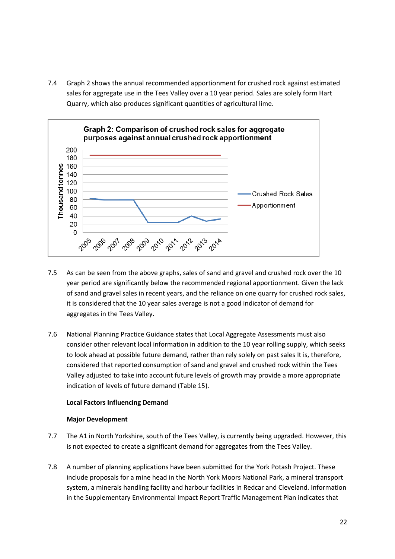7.4 Graph 2 shows the annual recommended apportionment for crushed rock against estimated sales for aggregate use in the Tees Valley over a 10 year period. Sales are solely form Hart Quarry, which also produces significant quantities of agricultural lime.



- 7.5 As can be seen from the above graphs, sales of sand and gravel and crushed rock over the 10 year period are significantly below the recommended regional apportionment. Given the lack of sand and gravel sales in recent years, and the reliance on one quarry for crushed rock sales, it is considered that the 10 year sales average is not a good indicator of demand for aggregates in the Tees Valley.
- 7.6 National Planning Practice Guidance states that Local Aggregate Assessments must also consider other relevant local information in addition to the 10 year rolling supply, which seeks to look ahead at possible future demand, rather than rely solely on past sales It is, therefore, considered that reported consumption of sand and gravel and crushed rock within the Tees Valley adjusted to take into account future levels of growth may provide a more appropriate indication of levels of future demand (Table 15).

#### **Local Factors Influencing Demand**

#### **Major Development**

- 7.7 The A1 in North Yorkshire, south of the Tees Valley, is currently being upgraded. However, this is not expected to create a significant demand for aggregates from the Tees Valley.
- 7.8 A number of planning applications have been submitted for the York Potash Project. These include proposals for a mine head in the North York Moors National Park, a mineral transport system, a minerals handling facility and harbour facilities in Redcar and Cleveland. Information in the Supplementary Environmental Impact Report Traffic Management Plan indicates that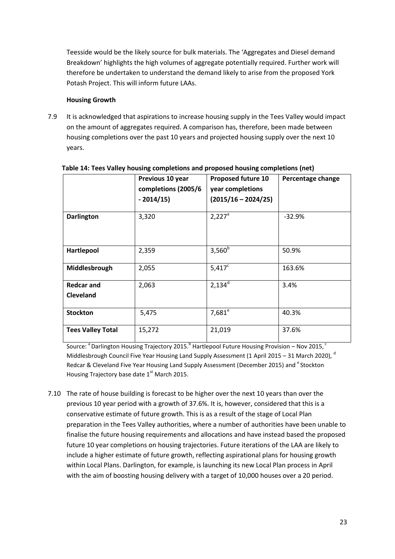Teesside would be the likely source for bulk materials. The 'Aggregates and Diesel demand Breakdown' highlights the high volumes of aggregate potentially required. Further work will therefore be undertaken to understand the demand likely to arise from the proposed York Potash Project. This will inform future LAAs.

# **Housing Growth**

7.9 It is acknowledged that aspirations to increase housing supply in the Tees Valley would impact on the amount of aggregates required. A comparison has, therefore, been made between housing completions over the past 10 years and projected housing supply over the next 10 years.

|                                | Previous 10 year<br>completions (2005/6<br>$-2014/15$ | <b>Proposed future 10</b><br>year completions<br>$(2015/16 - 2024/25)$ | Percentage change |
|--------------------------------|-------------------------------------------------------|------------------------------------------------------------------------|-------------------|
| <b>Darlington</b>              | 3,320                                                 | $2,227^a$                                                              | $-32.9%$          |
| Hartlepool                     | 2,359                                                 | $3,560^{b}$                                                            | 50.9%             |
| Middlesbrough                  | 2,055                                                 | $5,417^c$                                                              | 163.6%            |
| <b>Redcar and</b><br>Cleveland | 2,063                                                 | $2,134^d$                                                              | 3.4%              |
| <b>Stockton</b>                | 5,475                                                 | $7,681^e$                                                              | 40.3%             |
| <b>Tees Valley Total</b>       | 15,272                                                | 21,019                                                                 | 37.6%             |

# **Table 14: Tees Valley housing completions and proposed housing completions (net)**

Source: <sup>a</sup> Darlington Housing Trajectory 2015.<sup>b</sup> Hartlepool Future Housing Provision – Nov 2015, <sup>c</sup> Middlesbrough Council Five Year Housing Land Supply Assessment (1 April 2015 – 31 March 2020).<sup>d</sup> Redcar & Cleveland Five Year Housing Land Supply Assessment (December 2015) and <sup>e</sup> Stockton Housing Trajectory base date  $1<sup>st</sup>$  March 2015.

7.10 The rate of house building is forecast to be higher over the next 10 years than over the previous 10 year period with a growth of 37.6%. It is, however, considered that this is a conservative estimate of future growth. This is as a result of the stage of Local Plan preparation in the Tees Valley authorities, where a number of authorities have been unable to finalise the future housing requirements and allocations and have instead based the proposed future 10 year completions on housing trajectories. Future iterations of the LAA are likely to include a higher estimate of future growth, reflecting aspirational plans for housing growth within Local Plans. Darlington, for example, is launching its new Local Plan process in April with the aim of boosting housing delivery with a target of 10,000 houses over a 20 period.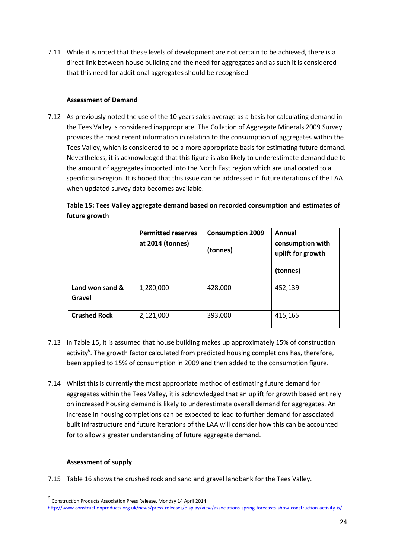7.11 While it is noted that these levels of development are not certain to be achieved, there is a direct link between house building and the need for aggregates and as such it is considered that this need for additional aggregates should be recognised.

# **Assessment of Demand**

7.12 As previously noted the use of the 10 years sales average as a basis for calculating demand in the Tees Valley is considered inappropriate. The Collation of Aggregate Minerals 2009 Survey provides the most recent information in relation to the consumption of aggregates within the Tees Valley, which is considered to be a more appropriate basis for estimating future demand. Nevertheless, it is acknowledged that this figure is also likely to underestimate demand due to the amount of aggregates imported into the North East region which are unallocated to a specific sub-region. It is hoped that this issue can be addressed in future iterations of the LAA when updated survey data becomes available.

# **Table 15: Tees Valley aggregate demand based on recorded consumption and estimates of future growth**

|                           | <b>Permitted reserves</b><br>at 2014 (tonnes) | <b>Consumption 2009</b><br>(tonnes) | Annual<br>consumption with<br>uplift for growth<br>(tonnes) |
|---------------------------|-----------------------------------------------|-------------------------------------|-------------------------------------------------------------|
| Land won sand &<br>Gravel | 1,280,000                                     | 428,000                             | 452,139                                                     |
| <b>Crushed Rock</b>       | 2,121,000                                     | 393,000                             | 415,165                                                     |

- 7.13 In Table 15, it is assumed that house building makes up approximately 15% of construction activity<sup>6</sup>. The growth factor calculated from predicted housing completions has, therefore, been applied to 15% of consumption in 2009 and then added to the consumption figure.
- 7.14 Whilst this is currently the most appropriate method of estimating future demand for aggregates within the Tees Valley, it is acknowledged that an uplift for growth based entirely on increased housing demand is likely to underestimate overall demand for aggregates. An increase in housing completions can be expected to lead to further demand for associated built infrastructure and future iterations of the LAA will consider how this can be accounted for to allow a greater understanding of future aggregate demand.

# **Assessment of supply**

**.** 

7.15 Table 16 shows the crushed rock and sand and gravel landbank for the Tees Valley.

<sup>6</sup> Construction Products Association Press Release, Monday 14 April 2014:

http://www.constructionproducts.org.uk/news/press-releases/display/view/associations-spring-forecasts-show-construction-activity-is/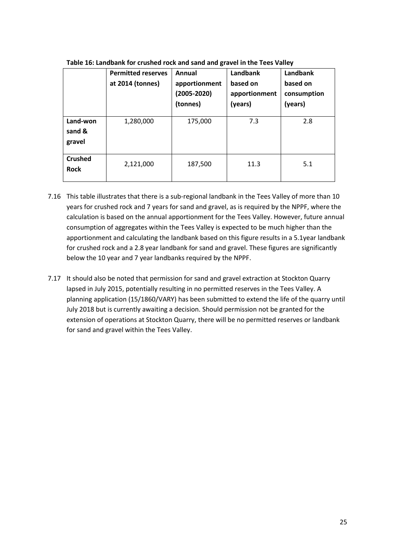|                               | <b>Permitted reserves</b><br>at 2014 (tonnes) | Annual<br>apportionment<br>$(2005 - 2020)$<br>(tonnes) | Landbank<br>based on<br>apportionment<br>(years) | Landbank<br>based on<br>consumption<br>(years) |
|-------------------------------|-----------------------------------------------|--------------------------------------------------------|--------------------------------------------------|------------------------------------------------|
| Land-won<br>sand &<br>gravel  | 1,280,000                                     | 175,000                                                | 7.3                                              | 2.8                                            |
| <b>Crushed</b><br><b>Rock</b> | 2,121,000                                     | 187,500                                                | 11.3                                             | 5.1                                            |

**Table 16: Landbank for crushed rock and sand and gravel in the Tees Valley**

- 7.16 This table illustrates that there is a sub-regional landbank in the Tees Valley of more than 10 years for crushed rock and 7 years for sand and gravel, as is required by the NPPF, where the calculation is based on the annual apportionment for the Tees Valley. However, future annual consumption of aggregates within the Tees Valley is expected to be much higher than the apportionment and calculating the landbank based on this figure results in a 5.1year landbank for crushed rock and a 2.8 year landbank for sand and gravel. These figures are significantly below the 10 year and 7 year landbanks required by the NPPF.
- 7.17 It should also be noted that permission for sand and gravel extraction at Stockton Quarry lapsed in July 2015, potentially resulting in no permitted reserves in the Tees Valley. A planning application (15/1860/VARY) has been submitted to extend the life of the quarry until July 2018 but is currently awaiting a decision. Should permission not be granted for the extension of operations at Stockton Quarry, there will be no permitted reserves or landbank for sand and gravel within the Tees Valley.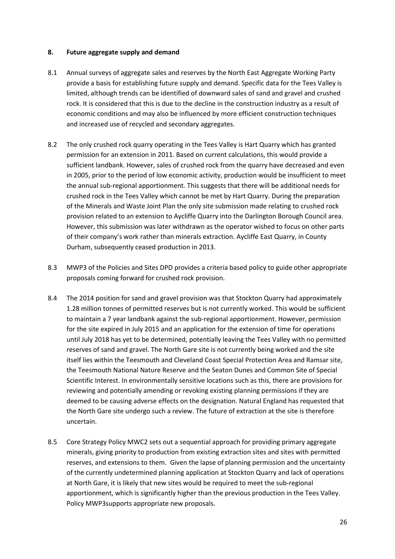#### **8. Future aggregate supply and demand**

- 8.1 Annual surveys of aggregate sales and reserves by the North East Aggregate Working Party provide a basis for establishing future supply and demand. Specific data for the Tees Valley is limited, although trends can be identified of downward sales of sand and gravel and crushed rock. It is considered that this is due to the decline in the construction industry as a result of economic conditions and may also be influenced by more efficient construction techniques and increased use of recycled and secondary aggregates.
- 8.2 The only crushed rock quarry operating in the Tees Valley is Hart Quarry which has granted permission for an extension in 2011. Based on current calculations, this would provide a sufficient landbank. However, sales of crushed rock from the quarry have decreased and even in 2005, prior to the period of low economic activity, production would be insufficient to meet the annual sub-regional apportionment. This suggests that there will be additional needs for crushed rock in the Tees Valley which cannot be met by Hart Quarry. During the preparation of the Minerals and Waste Joint Plan the only site submission made relating to crushed rock provision related to an extension to Aycliffe Quarry into the Darlington Borough Council area. However, this submission was later withdrawn as the operator wished to focus on other parts of their company's work rather than minerals extraction. Aycliffe East Quarry, in County Durham, subsequently ceased production in 2013.
- 8.3 MWP3 of the Policies and Sites DPD provides a criteria based policy to guide other appropriate proposals coming forward for crushed rock provision.
- 8.4 The 2014 position for sand and gravel provision was that Stockton Quarry had approximately 1.28 million tonnes of permitted reserves but is not currently worked. This would be sufficient to maintain a 7 year landbank against the sub-regional apportionment. However, permission for the site expired in July 2015 and an application for the extension of time for operations until July 2018 has yet to be determined, potentially leaving the Tees Valley with no permitted reserves of sand and gravel. The North Gare site is not currently being worked and the site itself lies within the Teesmouth and Cleveland Coast Special Protection Area and Ramsar site, the Teesmouth National Nature Reserve and the Seaton Dunes and Common Site of Special Scientific Interest. In environmentally sensitive locations such as this, there are provisions for reviewing and potentially amending or revoking existing planning permissions if they are deemed to be causing adverse effects on the designation. Natural England has requested that the North Gare site undergo such a review. The future of extraction at the site is therefore uncertain.
- 8.5 Core Strategy Policy MWC2 sets out a sequential approach for providing primary aggregate minerals, giving priority to production from existing extraction sites and sites with permitted reserves, and extensions to them. Given the lapse of planning permission and the uncertainty of the currently undetermined planning application at Stockton Quarry and lack of operations at North Gare, it is likely that new sites would be required to meet the sub-regional apportionment, which is significantly higher than the previous production in the Tees Valley. Policy MWP3supports appropriate new proposals.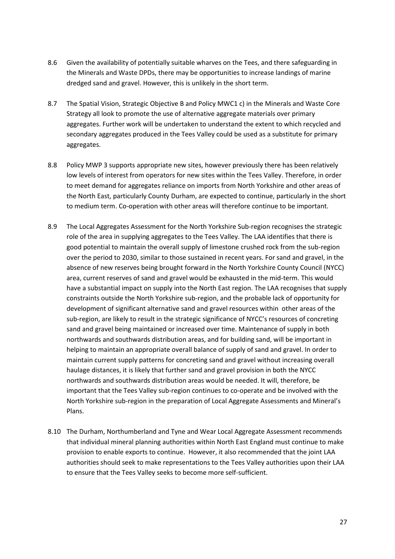- 8.6 Given the availability of potentially suitable wharves on the Tees, and there safeguarding in the Minerals and Waste DPDs, there may be opportunities to increase landings of marine dredged sand and gravel. However, this is unlikely in the short term.
- 8.7 The Spatial Vision, Strategic Objective B and Policy MWC1 c) in the Minerals and Waste Core Strategy all look to promote the use of alternative aggregate materials over primary aggregates. Further work will be undertaken to understand the extent to which recycled and secondary aggregates produced in the Tees Valley could be used as a substitute for primary aggregates.
- 8.8 Policy MWP 3 supports appropriate new sites, however previously there has been relatively low levels of interest from operators for new sites within the Tees Valley. Therefore, in order to meet demand for aggregates reliance on imports from North Yorkshire and other areas of the North East, particularly County Durham, are expected to continue, particularly in the short to medium term. Co-operation with other areas will therefore continue to be important.
- 8.9 The Local Aggregates Assessment for the North Yorkshire Sub-region recognises the strategic role of the area in supplying aggregates to the Tees Valley. The LAA identifies that there is good potential to maintain the overall supply of limestone crushed rock from the sub-region over the period to 2030, similar to those sustained in recent years. For sand and gravel, in the absence of new reserves being brought forward in the North Yorkshire County Council (NYCC) area, current reserves of sand and gravel would be exhausted in the mid-term. This would have a substantial impact on supply into the North East region. The LAA recognises that supply constraints outside the North Yorkshire sub-region, and the probable lack of opportunity for development of significant alternative sand and gravel resources within other areas of the sub-region, are likely to result in the strategic significance of NYCC's resources of concreting sand and gravel being maintained or increased over time. Maintenance of supply in both northwards and southwards distribution areas, and for building sand, will be important in helping to maintain an appropriate overall balance of supply of sand and gravel. In order to maintain current supply patterns for concreting sand and gravel without increasing overall haulage distances, it is likely that further sand and gravel provision in both the NYCC northwards and southwards distribution areas would be needed. It will, therefore, be important that the Tees Valley sub-region continues to co-operate and be involved with the North Yorkshire sub-region in the preparation of Local Aggregate Assessments and Mineral's Plans.
- 8.10 The Durham, Northumberland and Tyne and Wear Local Aggregate Assessment recommends that individual mineral planning authorities within North East England must continue to make provision to enable exports to continue. However, it also recommended that the joint LAA authorities should seek to make representations to the Tees Valley authorities upon their LAA to ensure that the Tees Valley seeks to become more self-sufficient.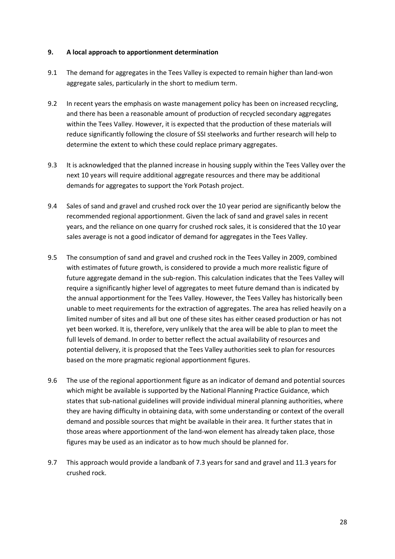#### **9. A local approach to apportionment determination**

- 9.1 The demand for aggregates in the Tees Valley is expected to remain higher than land-won aggregate sales, particularly in the short to medium term.
- 9.2 In recent years the emphasis on waste management policy has been on increased recycling, and there has been a reasonable amount of production of recycled secondary aggregates within the Tees Valley. However, it is expected that the production of these materials will reduce significantly following the closure of SSI steelworks and further research will help to determine the extent to which these could replace primary aggregates.
- 9.3 It is acknowledged that the planned increase in housing supply within the Tees Valley over the next 10 years will require additional aggregate resources and there may be additional demands for aggregates to support the York Potash project.
- 9.4 Sales of sand and gravel and crushed rock over the 10 year period are significantly below the recommended regional apportionment. Given the lack of sand and gravel sales in recent years, and the reliance on one quarry for crushed rock sales, it is considered that the 10 year sales average is not a good indicator of demand for aggregates in the Tees Valley.
- 9.5 The consumption of sand and gravel and crushed rock in the Tees Valley in 2009, combined with estimates of future growth, is considered to provide a much more realistic figure of future aggregate demand in the sub-region. This calculation indicates that the Tees Valley will require a significantly higher level of aggregates to meet future demand than is indicated by the annual apportionment for the Tees Valley. However, the Tees Valley has historically been unable to meet requirements for the extraction of aggregates. The area has relied heavily on a limited number of sites and all but one of these sites has either ceased production or has not yet been worked. It is, therefore, very unlikely that the area will be able to plan to meet the full levels of demand. In order to better reflect the actual availability of resources and potential delivery, it is proposed that the Tees Valley authorities seek to plan for resources based on the more pragmatic regional apportionment figures.
- 9.6 The use of the regional apportionment figure as an indicator of demand and potential sources which might be available is supported by the National Planning Practice Guidance, which states that sub-national guidelines will provide individual mineral planning authorities, where they are having difficulty in obtaining data, with some understanding or context of the overall demand and possible sources that might be available in their area. It further states that in those areas where apportionment of the land-won element has already taken place, those figures may be used as an indicator as to how much should be planned for.
- 9.7 This approach would provide a landbank of 7.3 years for sand and gravel and 11.3 years for crushed rock.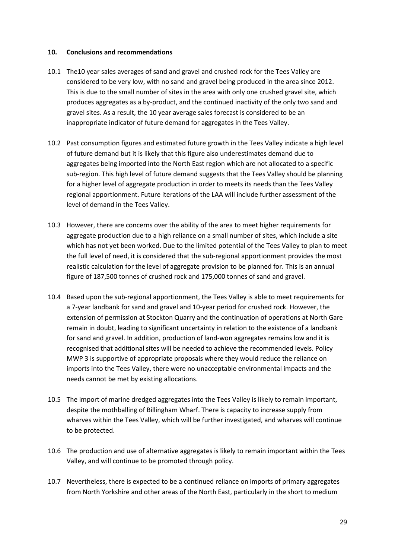#### **10. Conclusions and recommendations**

- 10.1 The10 year sales averages of sand and gravel and crushed rock for the Tees Valley are considered to be very low, with no sand and gravel being produced in the area since 2012. This is due to the small number of sites in the area with only one crushed gravel site, which produces aggregates as a by-product, and the continued inactivity of the only two sand and gravel sites. As a result, the 10 year average sales forecast is considered to be an inappropriate indicator of future demand for aggregates in the Tees Valley.
- 10.2 Past consumption figures and estimated future growth in the Tees Valley indicate a high level of future demand but it is likely that this figure also underestimates demand due to aggregates being imported into the North East region which are not allocated to a specific sub-region. This high level of future demand suggests that the Tees Valley should be planning for a higher level of aggregate production in order to meets its needs than the Tees Valley regional apportionment. Future iterations of the LAA will include further assessment of the level of demand in the Tees Valley.
- 10.3 However, there are concerns over the ability of the area to meet higher requirements for aggregate production due to a high reliance on a small number of sites, which include a site which has not yet been worked. Due to the limited potential of the Tees Valley to plan to meet the full level of need, it is considered that the sub-regional apportionment provides the most realistic calculation for the level of aggregate provision to be planned for. This is an annual figure of 187,500 tonnes of crushed rock and 175,000 tonnes of sand and gravel.
- 10.4 Based upon the sub-regional apportionment, the Tees Valley is able to meet requirements for a 7-year landbank for sand and gravel and 10-year period for crushed rock. However, the extension of permission at Stockton Quarry and the continuation of operations at North Gare remain in doubt, leading to significant uncertainty in relation to the existence of a landbank for sand and gravel. In addition, production of land-won aggregates remains low and it is recognised that additional sites will be needed to achieve the recommended levels. Policy MWP 3 is supportive of appropriate proposals where they would reduce the reliance on imports into the Tees Valley, there were no unacceptable environmental impacts and the needs cannot be met by existing allocations.
- 10.5 The import of marine dredged aggregates into the Tees Valley is likely to remain important, despite the mothballing of Billingham Wharf. There is capacity to increase supply from wharves within the Tees Valley, which will be further investigated, and wharves will continue to be protected.
- 10.6 The production and use of alternative aggregates is likely to remain important within the Tees Valley, and will continue to be promoted through policy.
- 10.7 Nevertheless, there is expected to be a continued reliance on imports of primary aggregates from North Yorkshire and other areas of the North East, particularly in the short to medium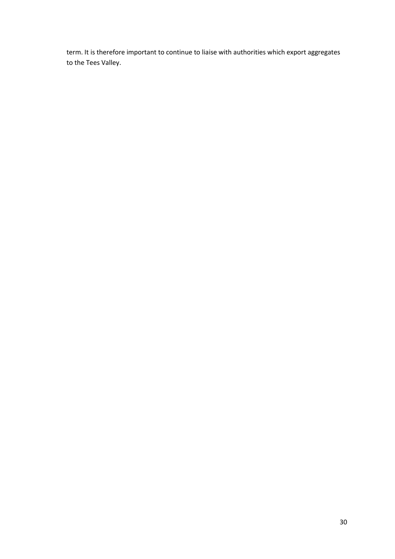term. It is therefore important to continue to liaise with authorities which export aggregates to the Tees Valley.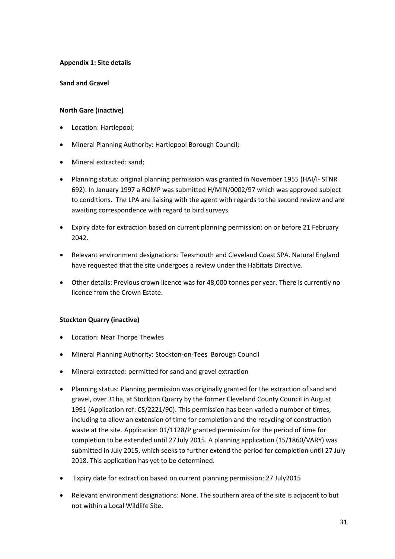# **Appendix 1: Site details**

# **Sand and Gravel**

# **North Gare (inactive)**

- Location: Hartlepool;
- Mineral Planning Authority: Hartlepool Borough Council;
- Mineral extracted: sand;
- Planning status: original planning permission was granted in November 1955 (HAI/I- STNR 692). In January 1997 a ROMP was submitted H/MIN/0002/97 which was approved subject to conditions. The LPA are liaising with the agent with regards to the second review and are awaiting correspondence with regard to bird surveys.
- Expiry date for extraction based on current planning permission: on or before 21 February 2042.
- Relevant environment designations: Teesmouth and Cleveland Coast SPA. Natural England have requested that the site undergoes a review under the Habitats Directive.
- Other details: Previous crown licence was for 48,000 tonnes per year. There is currently no licence from the Crown Estate.

#### **Stockton Quarry (inactive)**

- Location: Near Thorpe Thewles
- Mineral Planning Authority: Stockton-on-Tees Borough Council
- Mineral extracted: permitted for sand and gravel extraction
- Planning status: Planning permission was originally granted for the extraction of sand and gravel, over 31ha, at Stockton Quarry by the former Cleveland County Council in August 1991 (Application ref: CS/2221/90). This permission has been varied a number of times, including to allow an extension of time for completion and the recycling of construction waste at the site. Application 01/1128/P granted permission for the period of time for completion to be extended until 27 July 2015. A planning application (15/1860/VARY) was submitted in July 2015, which seeks to further extend the period for completion until 27 July 2018. This application has yet to be determined.
- Expiry date for extraction based on current planning permission: 27 July2015
- Relevant environment designations: None. The southern area of the site is adjacent to but not within a Local Wildlife Site.